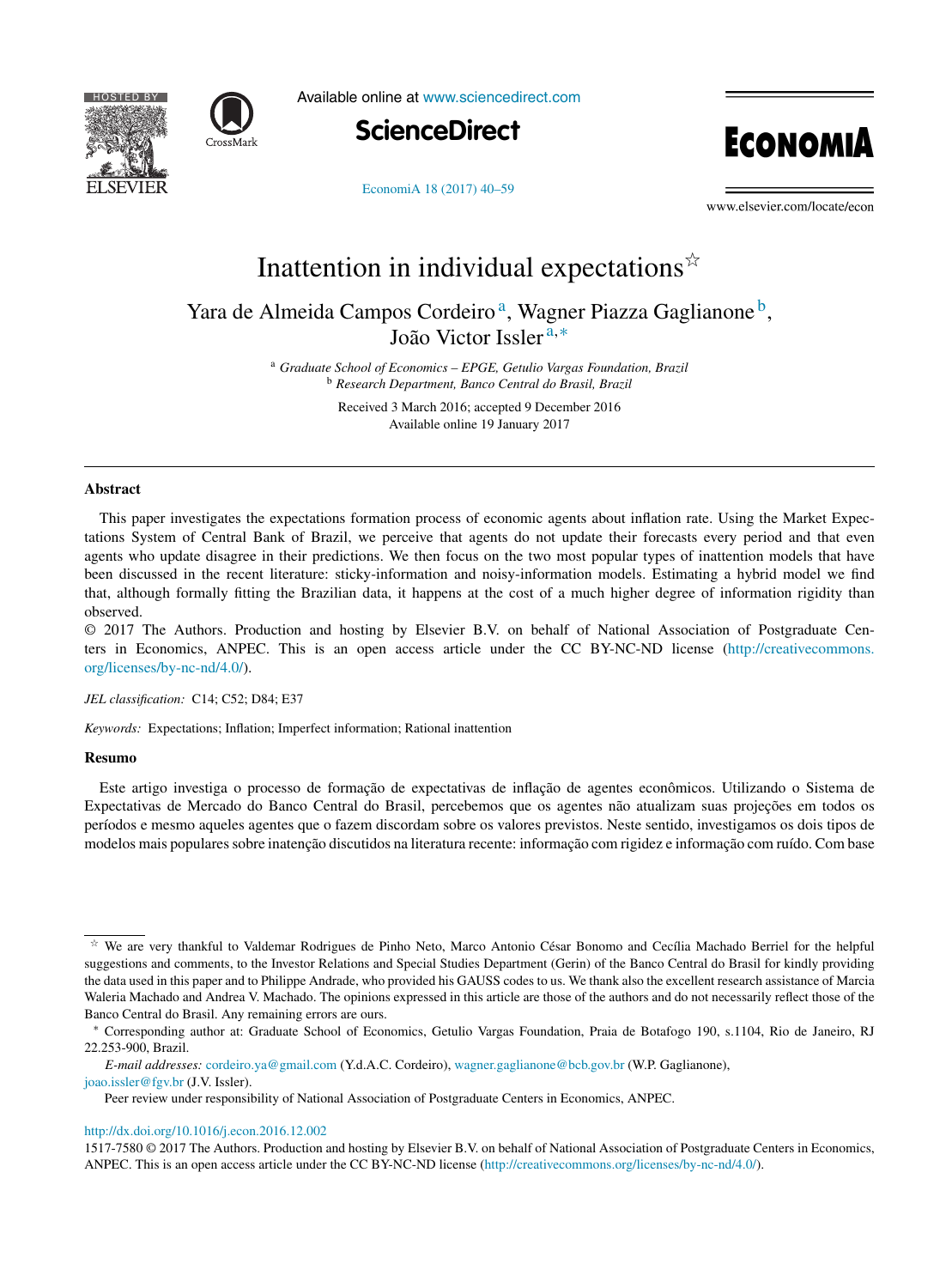



Available online at [www.sciencedirect.com](http://www.sciencedirect.com/science/journal/15177580)





[EconomiA](dx.doi.org/10.1016/j.econ.2016.12.002) 18 (2017) 40–59

www.elsevier.com/locate/econ

# Inattention in individual expectations $\dot{x}$

### Yara de Almeida Campos Cordeiro<sup>a</sup>, Wagner Piazza Gaglianone<sup>b</sup>, João Victor Issler <sup>a</sup>,<sup>∗</sup>

<sup>a</sup> *Graduate School of Economics – EPGE, Getulio Vargas Foundation, Brazil* <sup>b</sup> *Research Department, Banco Central do Brasil, Brazil*

> Received 3 March 2016; accepted 9 December 2016 Available online 19 January 2017

#### **Abstract**

This paper investigates the expectations formation process of economic agents about inflation rate. Using the Market Expectations System of Central Bank of Brazil, we perceive that agents do not update their forecasts every period and that even agents who update disagree in their predictions. We then focus on the two most popular types of inattention models that have been discussed in the recent literature: sticky-information and noisy-information models. Estimating a hybrid model we find that, although formally fitting the Brazilian data, it happens at the cost of a much higher degree of information rigidity than observed.

© 2017 The Authors. Production and hosting by Elsevier B.V. on behalf of National Association of Postgraduate Centers in Economics, ANPEC. This is an open access article under the CC BY-NC-ND license ([http://creativecommons.](http://creativecommons.org/licenses/by-nc-nd/4.0/) [org/licenses/by-nc-nd/4.0/\)](http://creativecommons.org/licenses/by-nc-nd/4.0/).

*JEL classification:* C14; C52; D84; E37

*Keywords:* Expectations; Inflation; Imperfect information; Rational inattention

#### **Resumo**

Este artigo investiga o processo de formação de expectativas de inflação de agentes econômicos. Utilizando o Sistema de Expectativas de Mercado do Banco Central do Brasil, percebemos que os agentes não atualizam suas projeções em todos os períodos e mesmo aqueles agentes que o fazem discordam sobre os valores previstos. Neste sentido, investigamos os dois tipos de modelos mais populares sobre inatenção discutidos na literatura recente: informação com rigidez e informação com ruído. Com base

*E-mail addresses:* [cordeiro.ya@gmail.com](mailto:cordeiro.ya@gmail.com) (Y.d.A.C. Cordeiro), [wagner.gaglianone@bcb.gov.br](mailto:wagner.gaglianone@bcb.gov.br) (W.P. Gaglianone),

[joao.issler@fgv.br](mailto:joao.issler@fgv.br) (J.V. Issler).

[http://dx.doi.org/10.1016/j.econ.2016.12.002](dx.doi.org/10.1016/j.econ.2016.12.002)

<sup>\*</sup> We are very thankful to Valdemar Rodrigues de Pinho Neto, Marco Antonio César Bonomo and Cecília Machado Berriel for the helpful suggestions and comments, to the Investor Relations and Special Studies Department (Gerin) of the Banco Central do Brasil for kindly providing the data used in this paper and to Philippe Andrade, who provided his GAUSS codes to us. We thank also the excellent research assistance of Marcia Waleria Machado and Andrea V. Machado. The opinions expressed in this article are those of the authors and do not necessarily reflect those of the Banco Central do Brasil. Any remaining errors are ours.

<sup>∗</sup> Corresponding author at: Graduate School of Economics, Getulio Vargas Foundation, Praia de Botafogo 190, s.1104, Rio de Janeiro, RJ 22.253-900, Brazil.

Peer review under responsibility of National Association of Postgraduate Centers in Economics, ANPEC.

<sup>1517-7580</sup> © 2017 The Authors. Production and hosting by Elsevier B.V. on behalf of National Association of Postgraduate Centers in Economics, ANPEC. This is an open access article under the CC BY-NC-ND license [\(http://creativecommons.org/licenses/by-nc-nd/4.0/\)](http://creativecommons.org/licenses/by-nc-nd/4.0/).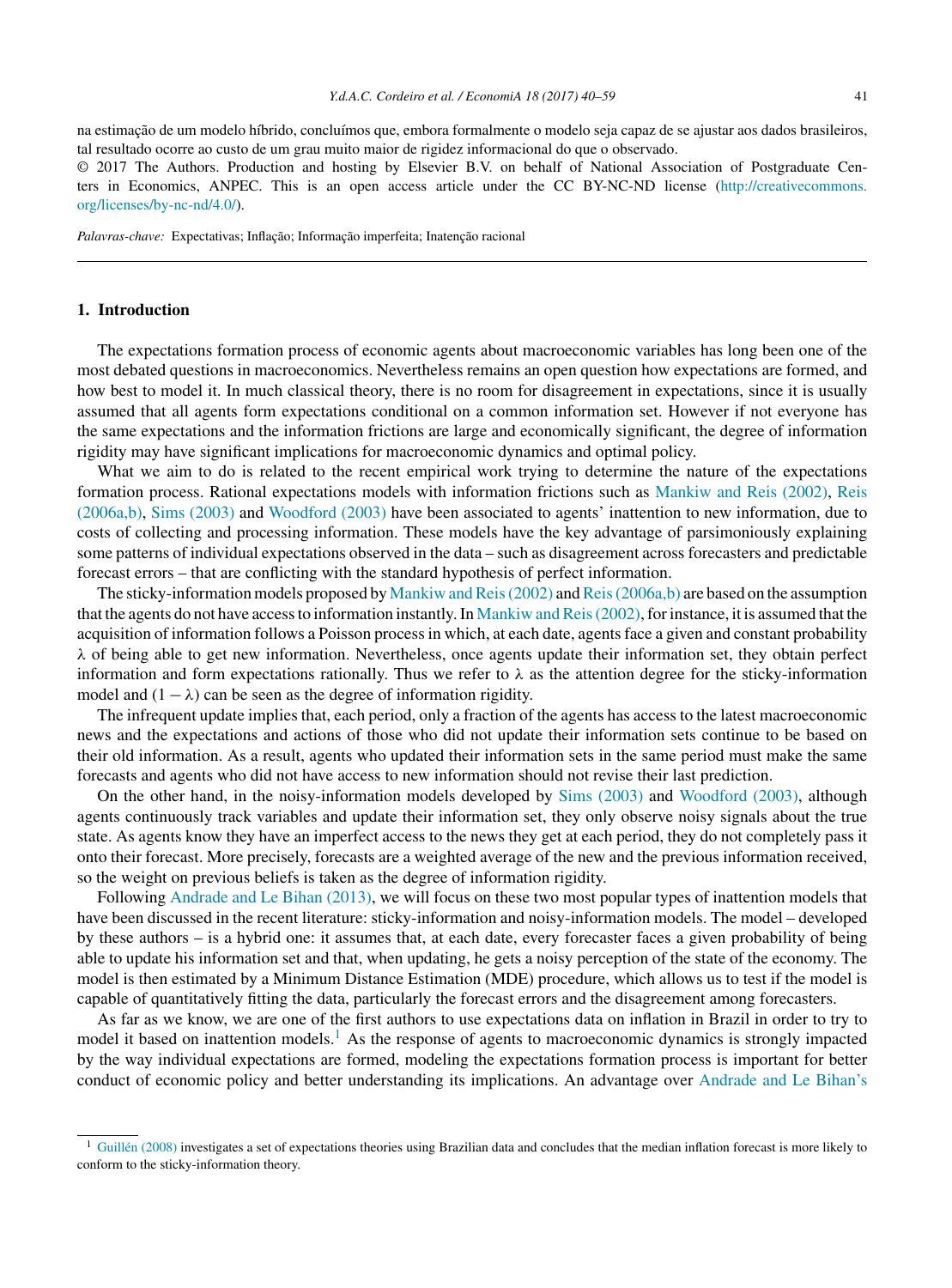na estimação de um modelo híbrido, concluímos que, embora formalmente o modelo seja capaz de se ajustar aos dados brasileiros, tal resultado ocorre ao custo de um grau muito maior de rigidez informacional do que o observado.

© 2017 The Authors. Production and hosting by Elsevier B.V. on behalf of National Association of Postgraduate Centers in Economics, ANPEC. This is an open access article under the CC BY-NC-ND license ([http://creativecommons.](http://creativecommons.org/licenses/by-nc-nd/4.0/) [org/licenses/by-nc-nd/4.0/\)](http://creativecommons.org/licenses/by-nc-nd/4.0/).

Palavras-chave: Expectativas; Inflação; Informação imperfeita; Inatenção racional

#### **1. Introduction**

The expectations formation process of economic agents about macroeconomic variables has long been one of the most debated questions in macroeconomics. Nevertheless remains an open question how expectations are formed, and how best to model it. In much classical theory, there is no room for disagreement in expectations, since it is usually assumed that all agents form expectations conditional on a common information set. However if not everyone has the same expectations and the information frictions are large and economically significant, the degree of information rigidity may have significant implications for macroeconomic dynamics and optimal policy.

What we aim to do is related to the recent empirical work trying to determine the nature of the expectations formation process. Rational expectations models with information frictions such as [Mankiw](#page--1-0) [and](#page--1-0) [Reis](#page--1-0) [\(2002\),](#page--1-0) [Reis](#page--1-0) [\(2006a,b\),](#page--1-0) [Sims](#page--1-0) [\(2003\)](#page--1-0) and [Woodford](#page--1-0) [\(2003\)](#page--1-0) have been associated to agents' inattention to new information, due to costs of collecting and processing information. These models have the key advantage of parsimoniously explaining some patterns of individual expectations observed in the data – such as disagreement across forecasters and predictable forecast errors – that are conflicting with the standard hypothesis of perfect information.

The sticky-information models proposed by [Mankiw](#page--1-0) and Reis (2002) and Reis (2006a,b) are based on the assumption that the agents do not have access to information instantly. In [Mankiw](#page--1-0) and Reis (2002), for instance, it is assumed that the acquisition of information follows a Poisson processin which, at each date, agentsface a given and constant probability λ of being able to get new information. Nevertheless, once agents update their information set, they obtain perfect information and form expectations rationally. Thus we refer to  $\lambda$  as the attention degree for the sticky-information model and  $(1 - \lambda)$  can be seen as the degree of information rigidity.

The infrequent update implies that, each period, only a fraction of the agents has access to the latest macroeconomic news and the expectations and actions of those who did not update their information sets continue to be based on their old information. As a result, agents who updated their information sets in the same period must make the same forecasts and agents who did not have access to new information should not revise their last prediction.

On the other hand, in the noisy-information models developed by [Sims](#page--1-0) [\(2003\)](#page--1-0) and [Woodford](#page--1-0) [\(2003\),](#page--1-0) although agents continuously track variables and update their information set, they only observe noisy signals about the true state. As agents know they have an imperfect access to the news they get at each period, they do not completely pass it onto their forecast. More precisely, forecasts are a weighted average of the new and the previous information received, so the weight on previous beliefs is taken as the degree of information rigidity.

Following [Andrade](#page--1-0) [and](#page--1-0) [Le](#page--1-0) [Bihan](#page--1-0) [\(2013\),](#page--1-0) we will focus on these two most popular types of inattention models that have been discussed in the recent literature: sticky-information and noisy-information models. The model – developed by these authors – is a hybrid one: it assumes that, at each date, every forecaster faces a given probability of being able to update his information set and that, when updating, he gets a noisy perception of the state of the economy. The model is then estimated by a Minimum Distance Estimation (MDE) procedure, which allows us to test if the model is capable of quantitatively fitting the data, particularly the forecast errors and the disagreement among forecasters.

As far as we know, we are one of the first authors to use expectations data on inflation in Brazil in order to try to model it based on inattention models.<sup>1</sup> As the response of agents to macroeconomic dynamics is strongly impacted by the way individual expectations are formed, modeling the expectations formation process is important for better conduct of economic policy and better understanding its implications. An advantage over [Andrade](#page--1-0) [and](#page--1-0) [Le](#page--1-0) [Bihan's](#page--1-0)

<sup>&</sup>lt;sup>1</sup> [Guillén](#page--1-0) [\(2008\)](#page--1-0) investigates a set of expectations theories using Brazilian data and concludes that the median inflation forecast is more likely to conform to the sticky-information theory.